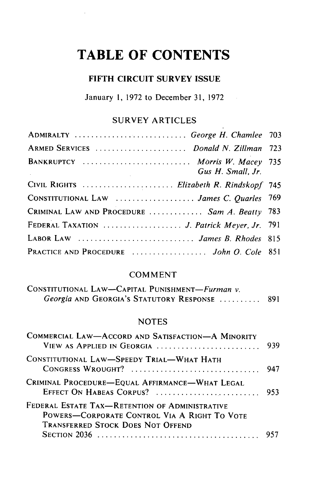# **TABLE OF CONTENTS**

 $\bar{z}$ 

## **FIFTH CIRCUIT SURVEY ISSUE**

January 1, 1972 to December 31, 1972

## SURVEY ARTICLES

| ADMIRALTY  George H. Chamlee 703                     |  |
|------------------------------------------------------|--|
| ARMED SERVICES  Donald N. Zillman 723                |  |
| BANKRUPTCY  Morris W. Macey 735<br>Gus H. Small, Jr. |  |
| CIVIL RIGHTS  Elizabeth R. Rindskopf 745             |  |
| CONSTITUTIONAL LAW  James C. Quarles 769             |  |
| CRIMINAL LAW AND PROCEDURE  Sam A. Beatty 783        |  |
| FEDERAL TAXATION  J. Patrick Meyer, Jr. 791          |  |
| LABOR LAW  James B. Rhodes 815                       |  |
| PRACTICE AND PROCEDURE  John O. Cole 851             |  |

#### COMMENT

| CONSTITUTIONAL LAW—CAPITAL PUNISHMENT—Furman v. |  |
|-------------------------------------------------|--|
| Georgia AND GEORGIA's STATUTORY RESPONSE  891   |  |

#### NOTES

| COMMERCIAL LAW-ACCORD AND SATISFACTION-A MINORITY<br>VIEW AS APPLIED IN GEORGIA                                                            | 939 |
|--------------------------------------------------------------------------------------------------------------------------------------------|-----|
| CONSTITUTIONAL LAW-SPEEDY TRIAL-WHAT HATH<br>CONGRESS WROUGHT?                                                                             | 947 |
| CRIMINAL PROCEDURE-EQUAL AFFIRMANCE-WHAT LEGAL                                                                                             |     |
| FEDERAL ESTATE TAX-RETENTION OF ADMINISTRATIVE<br>POWERS-CORPORATE CONTROL VIA A RIGHT TO VOTE<br><b>TRANSFERRED STOCK DOES NOT OFFEND</b> |     |
|                                                                                                                                            |     |